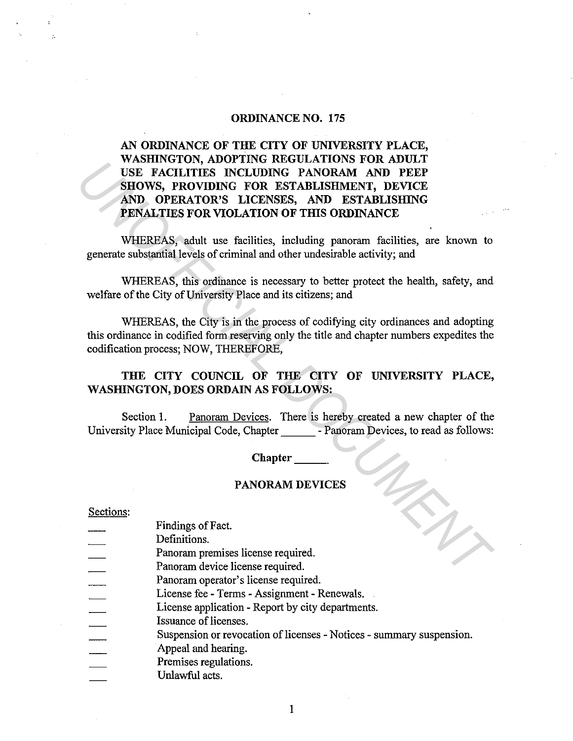# ORDINANCE NO. 175

# AN ORDINANCE OF THE CITY OF UNIVERSITY PLACE, WASHINGTON, ADOPTING REGULATIONS FOR ADULT USE FACILITIES INCLUDING PANORAM AND PEEP SHOWS, PROVIDING FOR ESTABLISHMENT, DEVICE AND OPERATOR'S LICENSES, AND ESTABLISHING PENALTIES FOR VIOLATION OF THIS ORDINANCE **EXERCISE FACILITIES INCLUDING FANORAM AND DEEP<br>
SIDE FACILITIES INCLUDING FANORAM AND DEEP<br>
SHOWS, PROVIDING FOR ESTABLISHMENT, DEVICE<br>
AND OPERATOR'S LICENSES, AND ESTABLISHMENT<br>
PENALTIES FOR VIOLATION OF THIS ORDINANCE**

WHEREAS, adult use facilities, including panoram facilities, are known to generate substantial levels of criminal and other undesirable activity; and

WHEREAS, this ordinance is necessary to better protect the health, safety, and welfare of the City of University Place and its citizens; and

WHEREAS, the City is in the process of codifying city ordinances and adopting this ordinance in codified form reserving only the title and chapter numbers expedites the codification process; NOW, THEREFORE,

# THE CITY COUNCIL OF THE CITY OF UNIVERSITY PLACE, WASHINGTON, DOES ORDAIN AS FOLLOWS:

Section 1. Panoram Devices. There is hereby created a new chapter of the University Place Municipal Code, Chapter - Panoram Devices, to read as follows:

# Chapter

# PANORAM DEVICES

## Sections:

Findings of Fact.

Definitions.

- Panoram premises license required.
- Panoram device license required.
- Panoram operator's license required.
- License fee Terms Assignment Renewals.
- License application Report by city departments.
- Issuance of licenses.
- Suspension or revocation of licenses Notices summary suspension.
- Appeal and hearing.
- Premises regulations.
- Unlawful acts.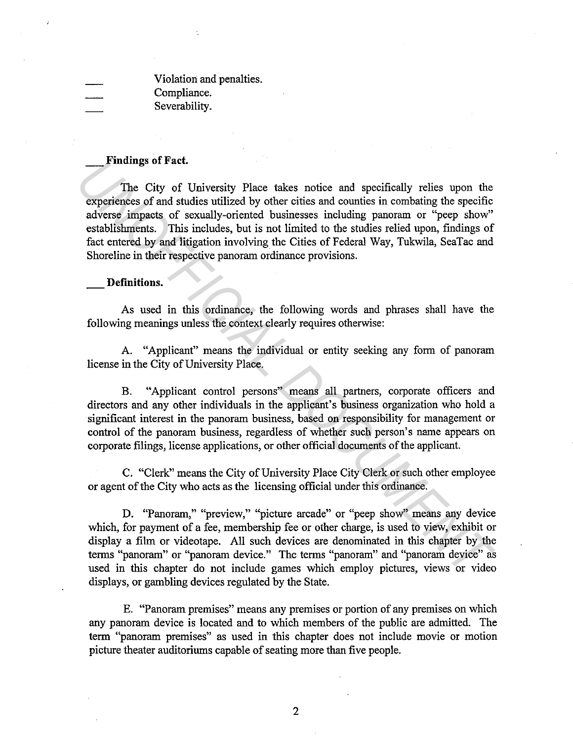Violation and penalties. Compliance. Severability.

# **\_Findings of Fact.**

The City of University Place takes notice and specifically relies upon the experiences of and studies utilized by other cities and counties in combating the specific adverse impacts of sexually-oriented businesses including panoram or "peep show" establishments. This includes, but is not limited to the studies relied upon, findings of fact entered by and litigation involving the Cities of Federal Way, Tukwila, SeaTac and Shoreline in their respective panoram ordinance provisions. **Final and Source 3.** The City of University Place takes notice and specifically relies upon the experiences of and studies utilized by other cities and counties in combating the specific adverse impacts of sexually-orient

# **Definitions.**

As used in this ordinance, the following words and phrases shall have the following meanings unless the context clearly requires otherwise:

A. "Applicant" means the individual or entity seeking any form of panoram license in the City of University Place.

B. "Applicant control persons" means all partners, corporate officers and directors and any other individuals in the applicant's business organization who hold a significant interest in the panoram business, based on responsibility for management or control of the panoram business, regardless of whether such person's name appears on corporate filings, license applications, or other official documents of the applicant.

C. "Clerk" means the City of University Place City Clerk or such other employee or agent of the City who acts as the licensing official under this ordinance.

D. "Panoram," "preview," "picture arcade" or "peep show" means any device which, for payment of a fee, membership fee or other charge, is used to view, exhibit or display a film or videotape. All such devices are denominated in this chapter by the terms "panoram" or "panoram device." The terms "panoram" and "panoram device" as used in this chapter do not include games which employ pictures, views or video displays, or gambling devices regulated by the State.

E. "Panoram premises" means any premises or portion of any premises on which any panoram device is located and to which members of the public are admitted. The term "panoram premises" as used in this chapter does not include movie or motion picture theater auditoriums capable of seating more than five people.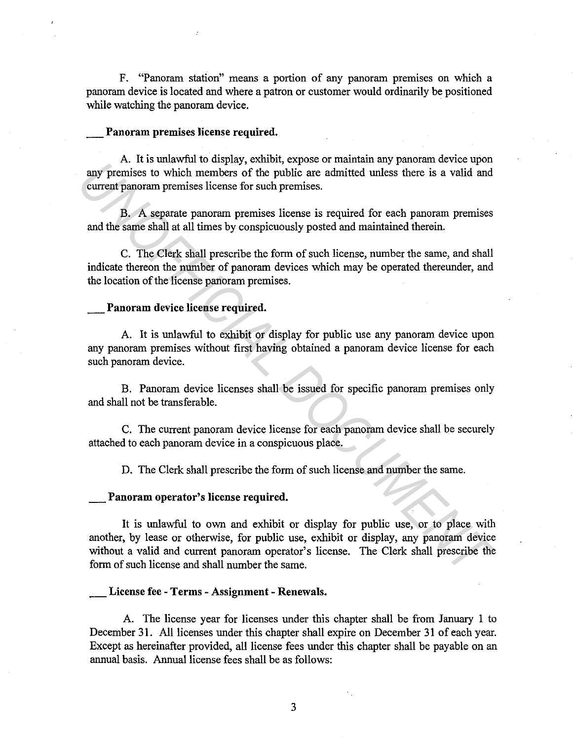F. "Panoram station" means a portion of any panoram premises on which a panoram device is located and where a patron or customer would ordinarily be positioned while watching the panoram device.

# \_ **Panoram premises license required.**

A. It is unlawful to display, exhibit, expose or maintain any panoram device upon any premises to which members of the public are admitted unless there is a valid and current panoram premises license for such premises.

B. A separate panoram premises license is required for each panoram premises and the same shall at all times by conspicuously posted and maintained therein.

C. The Clerk shall prescribe the form of such license, number the same, and shall indicate thereon the number of panoram devices which may be operated thereunder, and the location of the license panoram premises.

# \_ **Panoram device license required.**

A. It is unlawful to exhibit or display for public use any panoram device upon any panoram premises without first having obtained a panoram device license for each such panoram device.

B. Panoram device licenses shall be issued for specific panoram premises only and shall not be transferable.

C. The current panoram device license for each panoram device shall be securely attached to each panoram device in a conspicuous place.

D. The Clerk shall prescribe the form of such license and number the same.

# \_ **Panoram operator's license required.**

It is unlawful to own and exhibit or display for public use, or to place with another, by lease or otherwise, for public use, exhibit or display, any panoram device without a valid and current panoram operator's license. The Clerk shall prescribe the form of such license and shall number the same. **Example 12** and the mathematic strength controllation in the mathematic strength controllation of the public are admitted unless there is a valid and current panoram premises license for such premises.<br> **B.** A separate pa

# **\_License fee - Terms - Assignment - Renewals.**

A. The license year for licenses under this chapter shall be from January 1 to December 31. All licenses under this chapter shall expire on December 31 of each year. Except as hereinafter provided, all license fees under this chapter shall be payable on an annual basis. Annual license fees shall be as follows: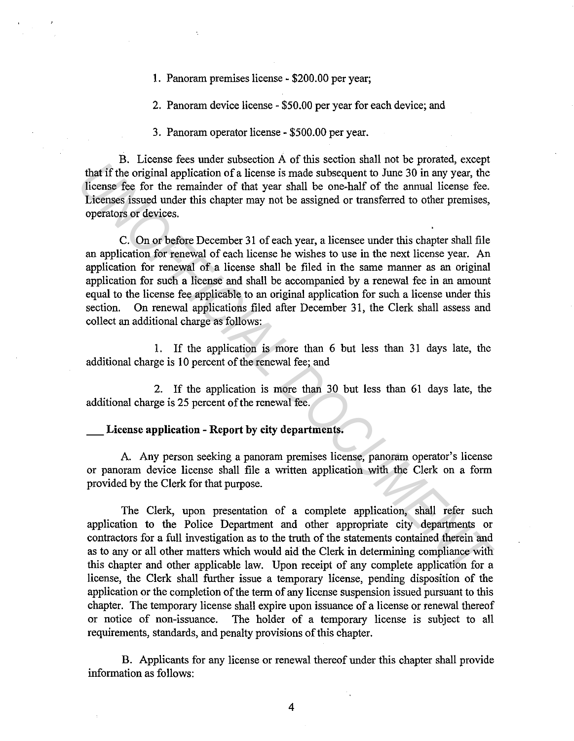1. Panoram premises license - \$200.00 per year;

2. Panoram device license - \$50.00 per year for each device; and

3. Panoram operator license - \$500.00 per year.

B. License fees under subsection A of this section shall not be prorated, except that if the original application of a license is made subsequent to June 30 in any year, the license fee for the remainder of that year shall be one-half of the annual license fee. Licenses issued under this chapter may not be assigned or transferred to other premises, operators or devices.

C. On or before December 31 of each year, a licensee under this chapter shall file an application for renewal of each license he wishes to use in the next license year. An application for renewal of a license shall be filed in the same manner as an original application for such a license and shall be accompanied by a renewal fee in an amount equal to the license fee applicable to an original application for such a license under this section. On renewal applications filed after December 31, the Clerk shall assess and collect an additional charge as follows: *Uniteralisation is* once the members of the section and interact we controllar the original application of a license is made subsequent to June 30 in any year, the license fee for the remainder of that year shall be one-h

1. If the application is more than 6 but less than 31 days late, the additional charge is 10 percent of the renewal fee; and

2. If the application is more than 30 but less than 61 days late, the additional charge is 25 percent of the renewal fee.

# License application - Report by city departments.

A. Any person seeking a panoram premises license, panoram operator's license or panoram device license shall file a written application with the Clerk on a form provided by the Clerk for that purpose.

The Clerk, upon presentation of a complete application, shall refer such application to the Police Department and other appropriate city departments or contractors for a full investigation as to the truth of the statements contained therein and as to any or all other matters which would aid the Clerk in determining compliance with this chapter and other applicable law. Upon receipt of any complete application for a license, the Clerk shall further issue a temporary license, pending disposition of the application or the completion of the term of any license suspension issued pursuant to this chapter. The temporary license shall expire upon issuance of a license or renewal thereof or notice of non-issuance. The holder of a temporary license is subject to all requirements, standards, and penalty provisions of this chapter.

B. Applicants for any license or renewal thereof under this chapter shall provide information as follows: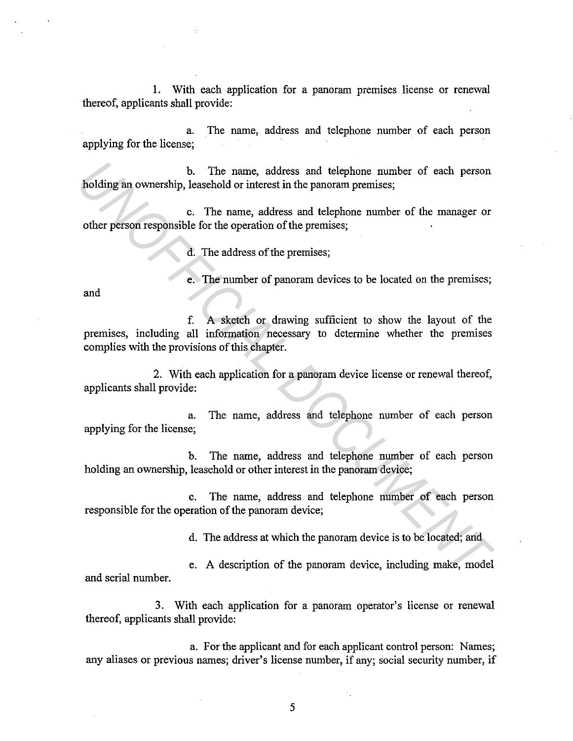1. With each application for a panoram premises license or renewal thereof, applicants shall provide:

a. The name, address and telephone number of each person applying for the license;

b. The name, address and telephone number of each person holding an ownership, leasehold or interest in the panoram premises;

c. The name, address and telephone number of the manager or other person responsible for the operation of the premises;

d. The address of the premises;

e. The number of panoram devices to be located on the premises;

and

f. A sketch or drawing sufficient to show the layout of the premises, including all information necessary to determine whether the premises complies with the provisions of this chapter. **EXECUTE 15 FOR A MORE IS and the manner of each person responsible or interest in the panoram premises;**<br> **UNDENDED** C. The name, address and telephone number of the manager or<br>
other person responsible for the operation

2. With each application for a panoram device license or renewal thereof, applicants shall provide:

a. The name, address and telephone number of each person applying for the license;

b. The name, address and telephone number of each person holding an ownership, leasehold or other interest in the panoram device;

c. The name, address and telephone number of each person responsible for the operation of the panoram device;

d. The address at which the panoram device is to be located; and

e. A description of the panoram device, including make, model and serial number.

3. With each application for a panoram operator's license or renewal thereof, applicants shall provide:

a. For the applicant and for each applicant control person: Names; any aliases or previous names; driver's license number, if any; social security number, if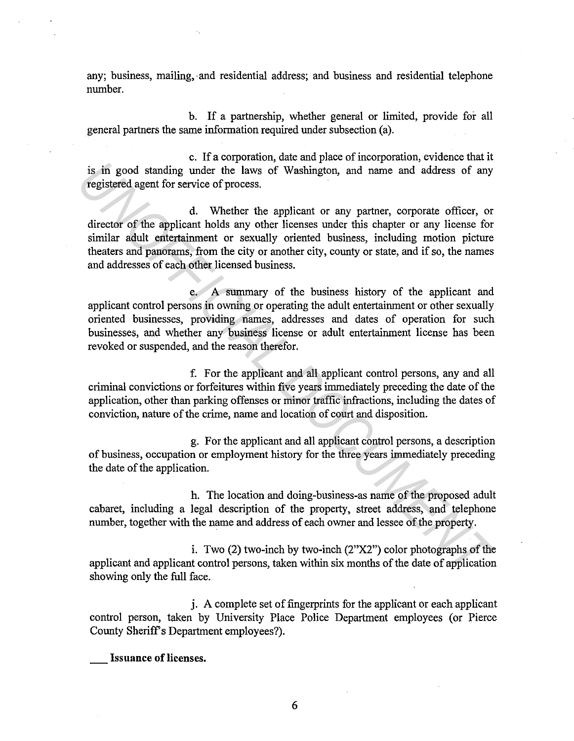any; business, mailing, and residential address; and business and residential telephone number.

b. If a partnership, whether general or limited, provide for all general partners the same information required under subsection (a).

c. If a corporation, date and place of incorporation, evidence that it is in good standing under the laws of Washington, and name and address of any registered agent for service of process.

d. Whether the applicant or any partner, corporate officer, or director of the applicant holds any other licenses under this chapter or any license for similar adult entertainment or sexually oriented business, including motion picture theaters and panorams, from the city or another city, county or state, and if so, the names and addresses of each other licensed business. is in good standing under the laws of Washington, and name and address of any registered agent for service of process.<br>
d. Whether the applicant or any partner, corporate officer, or<br>
d. Whether the applicant or any partne

e. A summary of the business history of the applicant and applicant control persons in owning or operating the adult entertainment or other sexually oriented businesses, providing names, addresses and dates of operation for such businesses, and whether any business license or adult entertainment license has been revoked or suspended, and the reason therefor.

f. For the applicant and all applicant control persons, any and all criminal convictions or forfeitures within five years immediately preceding the date of the application, other than parking offenses or minor traffic infractions, including the dates of conviction, nature of the crime, name and location of court and disposition.

g. For the applicant and all applicant control persons, a description of business, occupation or employment history for the three years immediately preceding the date of the application.

h. The location and doing-business-as name of the proposed adult cabaret, including a legal description of the property, street address, and telephone number, together with the name and address of each owner and lessee of the property.

i. Two (2) two-inch by two-inch (2"X2") color photographs of the applicant and applicant control persons, taken within six months of the date of application showing only the full face.

j. A complete set of fingerprints for the applicant or each applicant control person, taken by University Place Police Department employees (or Pierce County Sheriff's Department employees?).

**Issuance of licenses.**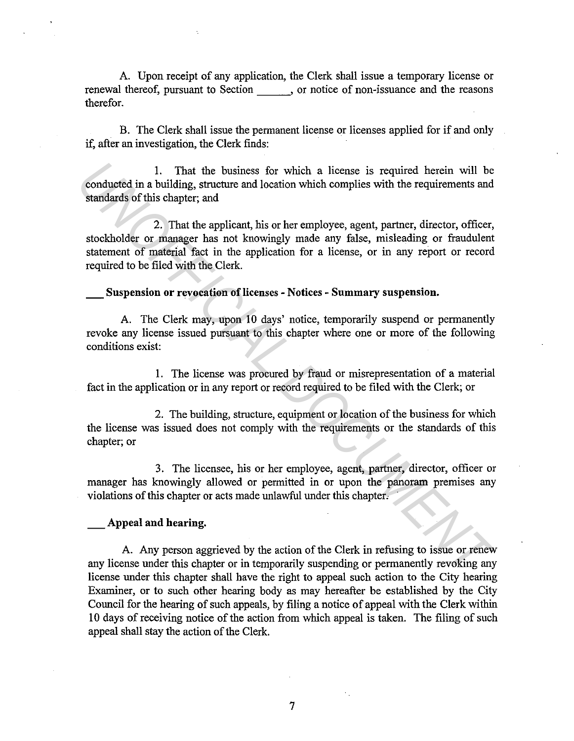A. Upon receipt of any application, the Clerk shall issue a temporary license or renewal thereof, pursuant to Section , or notice of non-issuance and the reasons therefor.

B. The Clerk shall issue the permanent license or licenses applied for if and only if, after an investigation, the Clerk finds:

1. That the business for which a license is required herein will be conducted in a building, structure and location which complies with the requirements and standards of this chapter; and

2. That the applicant, his or her employee, agent, partner, director, officer, stockholder or manager has not knowingly made any false, misleading or fraudulent statement of material fact in the application for a license, or in any report or record required to be filed with the Clerk. 1. That the business for which a license is required herein will be<br> **Standards** of this chapter, and<br> **Example 2.** That the applicant, his or her employee, agent, partner, director, of<br> **ICIC** stockholder or manager has n

**\_Suspension or revocation of licenses - Notices - Summary suspension.** 

A. The Clerk may, upon 10 days' notice, temporarily suspend or permanently revoke any license issued pursuant to this chapter where one or more of the following conditions exist:

**1.** The license was procured by fraud or misrepresentation of a material fact in the application or in any report or record required to be filed with the Clerk; or

2. The building, structure, equipment or location of the business for which the license was issued does not comply with the requirements or the standards of this chapter; or

3. The licensee, his or her employee, agent, partner, director, officer or manager has knowingly allowed or permitted in or upon the panoram premises any violations of this chapter or acts made unlawful under this chapter.

# **\_Appeal and hearing.**

A. Any person aggrieved by the action of the Clerk in refusing to issue or renew any license under this chapter or **in** temporarily suspending or permanently revoking any license under this chapter shall have the right to appeal such action to the City hearing Examiner, or to such other hearing body as may hereafter be established by the City Council for the hearing of such appeals, by filing a notice of appeal with the Clerk within **10** days of receiving notice of the action from which appeal is taken. The filing of such appeal shall stay the action of the Clerk.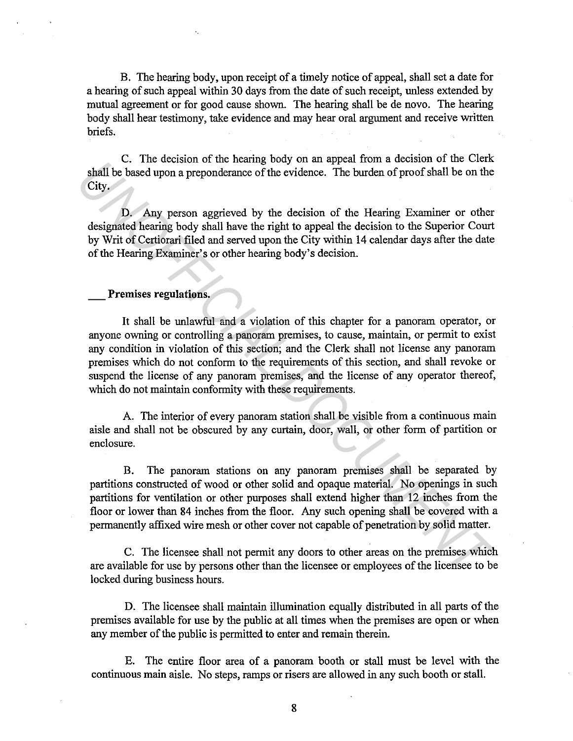B. The hearing body, upon receipt of a timely notice of appeal, shall set a date for a hearing of such appeal within 30 days from the date of such receipt, unless extended by mutual agreement or for good cause shown. The hearing shall be de novo. The hearing body shall hear testimony, take evidence and may hear oral argument and receive written briefs.

C. The decision of the hearing body on an appeal from a decision of the Clerk shall be based upon a preponderance of the evidence. The burden of proof shall be on the City.

D. Any person aggrieved by the decision of the Hearing Examiner or other designated hearing body shall have the right to appeal the decision to the Superior Court by Writ of Certiorari filed and served upon the City within 14 calendar days after the date of the Hearing Examiner's or other hearing body's decision.

# \_ **Premises regulations.**

It shall be unlawful and a violation of this chapter for a panoram operator, or anyone owning or controlling a panoram premises, to cause, maintain, or permit to exist any condition in violation of this section; and the Clerk shall not license any panoram premises which do not conform to the requirements of this section, and shall revoke or suspend the license of any panoram premises, and the license of any operator thereof, which do not maintain conformity with these requirements. **EXECUTE:** The turbustion of the nearing body of an appearance of the evidence. The burden of proof shall be on the City.<br> **D.** Any person aggriced by the decision of the Hearing Examiner or other discussions of the Hearin

A. The interior of every panoram station shall be visible from a continuous main aisle and shall not be obscured by any curtain, door, wall, or other form of partition or enclosure.

B. The panoram stations on any panoram premises shall be separated by partitions constructed of wood or other solid and opaque material. No openings in such partitions for ventilation or other purposes shall extend higher than 12 inches from the floor or lower than 84 inches from the floor. Any such opening shall be covered with a permanently affixed wire mesh or other cover not capable of penetration by solid matter.

C. The licensee shall not permit any doors to other areas on the premises which are available for use by persons other than the licensee or employees of the licensee to be locked during business hours.

D. The licensee shall maintain illumination equally distributed in all parts of the premises available for use by the public at all times when the premises are open or when any member of the public is permitted to enter and remain therein.

E. The entire floor area of a panoram booth or stall must be level with the continuous main aisle. No steps, ramps or risers are allowed in any such booth or stall.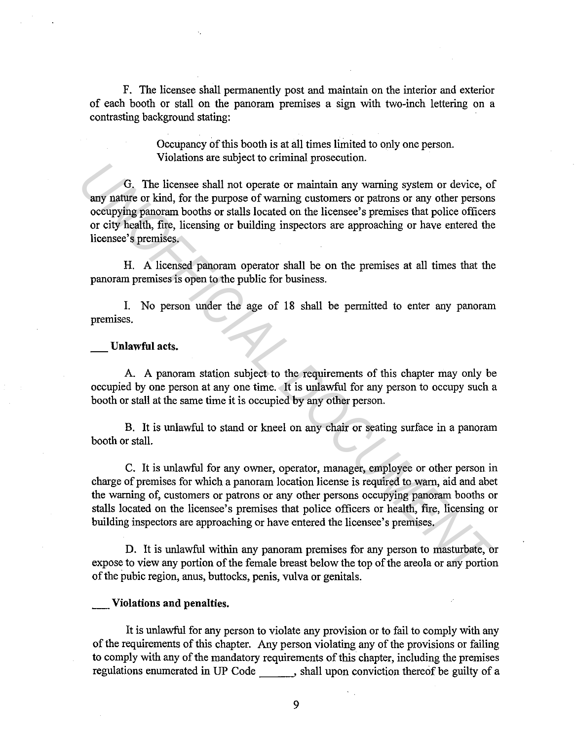F. The licensee shall permanently post and maintain on the interior and exterior of each booth or stall on the panoram premises a sign with two-inch lettering on a contrasting background stating:

> Occupancy of this booth is at all times limited to only one person. Violations are subject to criminal prosecution.

G. The licensee shall not operate or maintain any warning system or device, of any nature or kind, for the purpose of warning customers or patrons or any other persons occupying panoram booths or stalls located on the licensee's premises that police officers or city health, fire, licensing or building inspectors are approaching or have entered the licensee's premises.

H. A licensed panoram operator shall be on the premises at all times that the panoram premises is open to the public for business.

I. No person under the age of 18 shall be permitted to enter any panoram premises.

**Unlawful** acts.

A. A panoram station subject to the requirements of this chapter may only be occupied by one person at any one time. It is unlawful for any person to occupy such a booth or stall at the same time it is occupied by any other person.

B. It is unlawful to stand or kneel on any chair or seating surface in a panoram booth or stall.

C. It is unlawful for any owner, operator, manager, employee or other person in charge of premises for which a panoram location license is required to warn, aid and abet the warning of, customers or patrons or any other persons occupying panoram booths or stalls located on the licensee's premises that police officers or health, fire, licensing or building inspectors are approaching or have entered the licensee's premises. **13 IV C**, The licensee shall not operate or maintain any warning system or device, of<br> **EXECUMENT AND THE DEVALUAT CONDUCT CONDUCTS** of the purpose of warning customes or patrons or any other persons<br>
occupying panora

D. It is unlawful within any panoram premises for any person to masturbate, or expose to view any portion of the female breast below the top of the areola or any portion of the pubic region, anus, buttocks, penis, vulva or genitals.

## **\_Violations and penalties.**

It is unlawful for any person to violate any provision or to fail to comply with any of the requirements of this chapter. Any person violating any of the provisions or failing to comply with any of the mandatory requirements of this chapter, including the premises regulations enumerated in UP Code \_\_\_\_\_\_, shall upon conviction thereof be guilty of a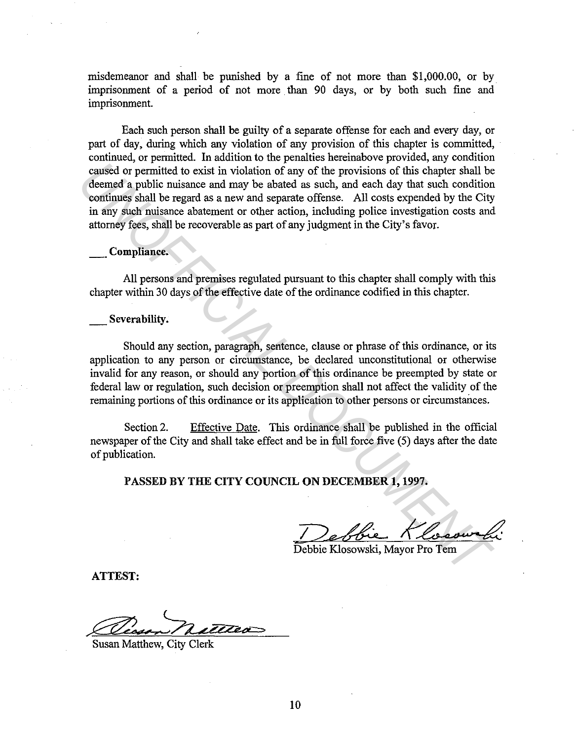misdemeanor and shall be punished by a fine of not more than \$1,000.00, or by imprisonment of a period of not more than 90 days, or by both such fine and imprisonment.

Each such person shall be guilty of a separate offense for each and every day, or part of day, during which any violation of any provision of this chapter is committed, continued, or permitted. In addition to the penalties hereinabove provided, any condition caused or permitted to exist in violation of any of the provisions of this chapter shall be deemed a public nuisance and may be abated as such, and each day that such condition continues shall be regard as a new and separate offense. All costs expended by the City in any such nuisance abatement or other action, including police investigation costs and attorney fees, shall be recoverable as part of any judgment in the City's favor. caused or permitted to exist in violation of any of the provisions of this chapter shall be<br>comed a public nuisance and may be absted as such, and each day that such continues shall be regard as a new and separate offense.

# **\_Compliance.**

All persons and premises regulated pursuant to this chapter shall comply with this chapter within 30 days of the effective date of the ordinance codified in this chapter.

# \_ **Severability.**

Should any section, paragraph, sentence, clause or phrase of this ordinance, or its application to any person or circumstance, be declared unconstitutional or otherwise invalid for any reason, or should any portion of this ordinance be preempted by state or federal law or regulation, such decision or preemption shall not affect the validity of the remaining portions of this ordinance or its application to other persons or circumstances.

Section 2. Effective Date. This ordinance shall be published in the official newspaper of the City and shall take effect and be in full force five (5) days after the date of publication.

**PASSED BY THE CITY COUNCIL ON DECEMBER 1, 1997.** 

Debbie Klosowski<br>Debbie Klosowski, Mayor Pro Tem

Debbie Klosowski, Mayor Pro Tem

**ATTEST:** 

Susan Matthew, City Clerk